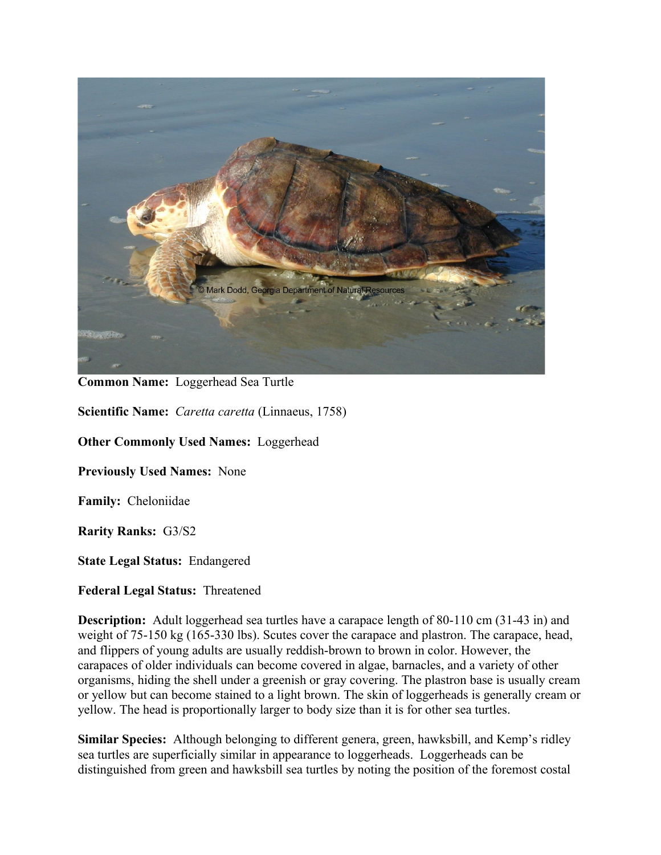

**Common Name:** Loggerhead Sea Turtle

**Scientific Name:** *Caretta caretta* (Linnaeus, 1758)

**Other Commonly Used Names:** Loggerhead

**Previously Used Names:** None

**Family:** Cheloniidae

**Rarity Ranks:** G3/S2

**State Legal Status:** Endangered

**Federal Legal Status:** Threatened

**Description:** Adult loggerhead sea turtles have a carapace length of 80-110 cm (31-43 in) and weight of 75-150 kg (165-330 lbs). Scutes cover the carapace and plastron. The carapace, head, and flippers of young adults are usually reddish-brown to brown in color. However, the carapaces of older individuals can become covered in algae, barnacles, and a variety of other organisms, hiding the shell under a greenish or gray covering. The plastron base is usually cream or yellow but can become stained to a light brown. The skin of loggerheads is generally cream or yellow. The head is proportionally larger to body size than it is for other sea turtles.

**Similar Species:** Although belonging to different genera, green, hawksbill, and Kemp's ridley sea turtles are superficially similar in appearance to loggerheads. Loggerheads can be distinguished from green and hawksbill sea turtles by noting the position of the foremost costal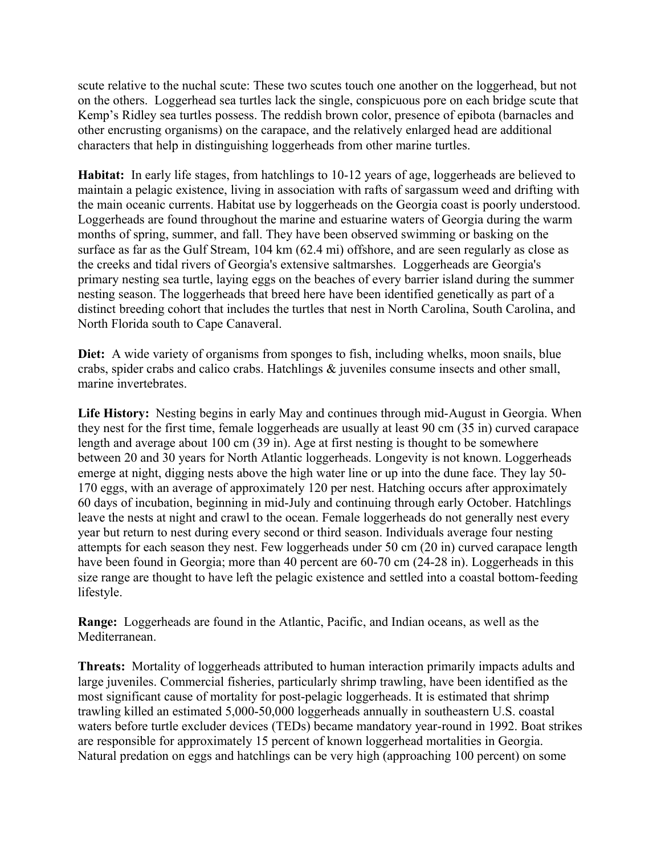scute relative to the nuchal scute: These two scutes touch one another on the loggerhead, but not on the others. Loggerhead sea turtles lack the single, conspicuous pore on each bridge scute that Kemp's Ridley sea turtles possess. The reddish brown color, presence of epibota (barnacles and other encrusting organisms) on the carapace, and the relatively enlarged head are additional characters that help in distinguishing loggerheads from other marine turtles.

**Habitat:** In early life stages, from hatchlings to 10-12 years of age, loggerheads are believed to maintain a pelagic existence, living in association with rafts of sargassum weed and drifting with the main oceanic currents. Habitat use by loggerheads on the Georgia coast is poorly understood. Loggerheads are found throughout the marine and estuarine waters of Georgia during the warm months of spring, summer, and fall. They have been observed swimming or basking on the surface as far as the Gulf Stream, 104 km (62.4 mi) offshore, and are seen regularly as close as the creeks and tidal rivers of Georgia's extensive saltmarshes. Loggerheads are Georgia's primary nesting sea turtle, laying eggs on the beaches of every barrier island during the summer nesting season. The loggerheads that breed here have been identified genetically as part of a distinct breeding cohort that includes the turtles that nest in North Carolina, South Carolina, and North Florida south to Cape Canaveral.

Diet: A wide variety of organisms from sponges to fish, including whelks, moon snails, blue crabs, spider crabs and calico crabs. Hatchlings & juveniles consume insects and other small, marine invertebrates.

**Life History:** Nesting begins in early May and continues through mid-August in Georgia. When they nest for the first time, female loggerheads are usually at least 90 cm (35 in) curved carapace length and average about 100 cm (39 in). Age at first nesting is thought to be somewhere between 20 and 30 years for North Atlantic loggerheads. Longevity is not known. Loggerheads emerge at night, digging nests above the high water line or up into the dune face. They lay 50- 170 eggs, with an average of approximately 120 per nest. Hatching occurs after approximately 60 days of incubation, beginning in mid-July and continuing through early October. Hatchlings leave the nests at night and crawl to the ocean. Female loggerheads do not generally nest every year but return to nest during every second or third season. Individuals average four nesting attempts for each season they nest. Few loggerheads under 50 cm (20 in) curved carapace length have been found in Georgia; more than 40 percent are 60-70 cm (24-28 in). Loggerheads in this size range are thought to have left the pelagic existence and settled into a coastal bottom-feeding lifestyle.

**Range:** Loggerheads are found in the Atlantic, Pacific, and Indian oceans, as well as the Mediterranean.

**Threats:** Mortality of loggerheads attributed to human interaction primarily impacts adults and large juveniles. Commercial fisheries, particularly shrimp trawling, have been identified as the most significant cause of mortality for post-pelagic loggerheads. It is estimated that shrimp trawling killed an estimated 5,000-50,000 loggerheads annually in southeastern U.S. coastal waters before turtle excluder devices (TEDs) became mandatory year-round in 1992. Boat strikes are responsible for approximately 15 percent of known loggerhead mortalities in Georgia. Natural predation on eggs and hatchlings can be very high (approaching 100 percent) on some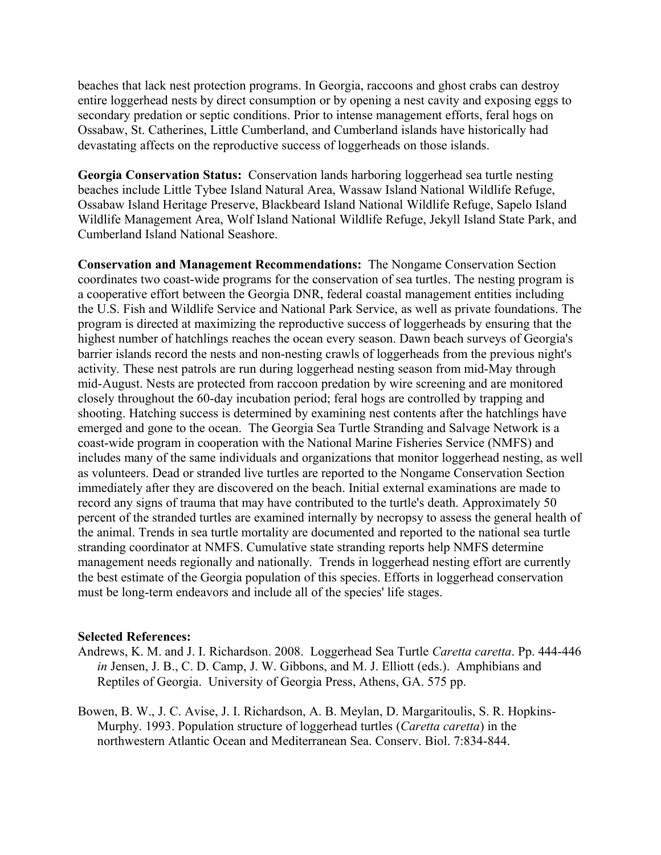beaches that lack nest protection programs. In Georgia, raccoons and ghost crabs can destroy entire loggerhead nests by direct consumption or by opening a nest cavity and exposing eggs to secondary predation or septic conditions. Prior to intense management efforts, feral hogs on Ossabaw, St. Catherines, Little Cumberland, and Cumberland islands have historically had devastating affects on the reproductive success of loggerheads on those islands.

**Georgia Conservation Status:** Conservation lands harboring loggerhead sea turtle nesting beaches include Little Tybee Island Natural Area, Wassaw Island National Wildlife Refuge, Ossabaw Island Heritage Preserve, Blackbeard Island National Wildlife Refuge, Sapelo Island Wildlife Management Area, Wolf Island National Wildlife Refuge, Jekyll Island State Park, and Cumberland Island National Seashore.

**Conservation and Management Recommendations:** The Nongame Conservation Section coordinates two coast-wide programs for the conservation of sea turtles. The nesting program is a cooperative effort between the Georgia DNR, federal coastal management entities including the U.S. Fish and Wildlife Service and National Park Service, as well as private foundations. The program is directed at maximizing the reproductive success of loggerheads by ensuring that the highest number of hatchlings reaches the ocean every season. Dawn beach surveys of Georgia's barrier islands record the nests and non-nesting crawls of loggerheads from the previous night's activity. These nest patrols are run during loggerhead nesting season from mid-May through mid-August. Nests are protected from raccoon predation by wire screening and are monitored closely throughout the 60-day incubation period; feral hogs are controlled by trapping and shooting. Hatching success is determined by examining nest contents after the hatchlings have emerged and gone to the ocean. The Georgia Sea Turtle Stranding and Salvage Network is a coast-wide program in cooperation with the National Marine Fisheries Service (NMFS) and includes many of the same individuals and organizations that monitor loggerhead nesting, as well as volunteers. Dead or stranded live turtles are reported to the Nongame Conservation Section immediately after they are discovered on the beach. Initial external examinations are made to record any signs of trauma that may have contributed to the turtle's death. Approximately 50 percent of the stranded turtles are examined internally by necropsy to assess the general health of the animal. Trends in sea turtle mortality are documented and reported to the national sea turtle stranding coordinator at NMFS. Cumulative state stranding reports help NMFS determine management needs regionally and nationally. Trends in loggerhead nesting effort are currently the best estimate of the Georgia population of this species. Efforts in loggerhead conservation must be long-term endeavors and include all of the species' life stages.

## **Selected References:**

- Andrews, K. M. and J. I. Richardson. 2008. Loggerhead Sea Turtle *Caretta caretta*. Pp. 444-446 *in* Jensen, J. B., C. D. Camp, J. W. Gibbons, and M. J. Elliott (eds.). Amphibians and Reptiles of Georgia. University of Georgia Press, Athens, GA. 575 pp.
- Bowen, B. W., J. C. Avise, J. I. Richardson, A. B. Meylan, D. Margaritoulis, S. R. Hopkins-Murphy. 1993. Population structure of loggerhead turtles (*Caretta caretta*) in the northwestern Atlantic Ocean and Mediterranean Sea. Conserv. Biol. 7:834-844.